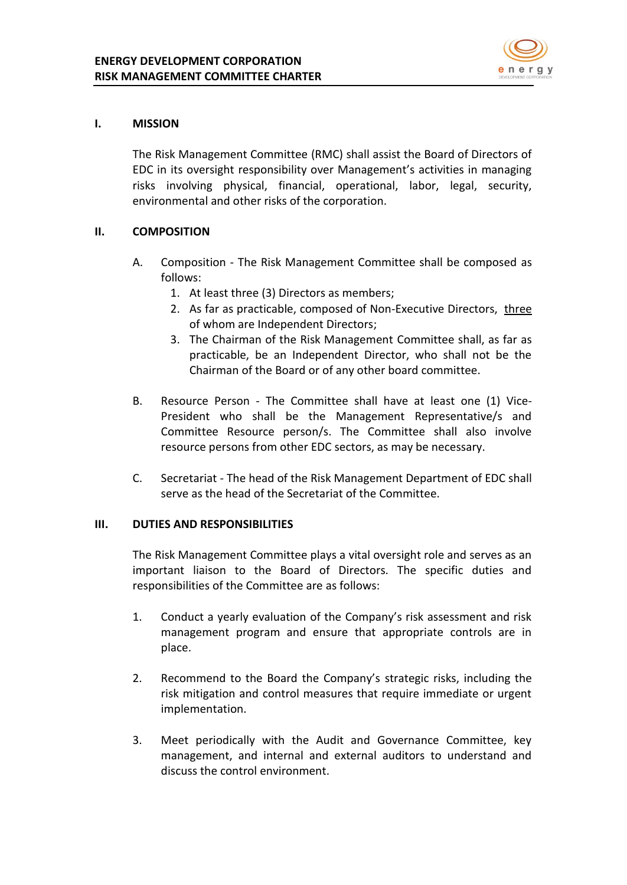

### **I. MISSION**

The Risk Management Committee (RMC) shall assist the Board of Directors of EDC in its oversight responsibility over Management's activities in managing risks involving physical, financial, operational, labor, legal, security, environmental and other risks of the corporation.

### **II. COMPOSITION**

- A. Composition The Risk Management Committee shall be composed as follows:
	- 1. At least three (3) Directors as members;
	- 2. As far as practicable, composed of Non-Executive Directors, three of whom are Independent Directors;
	- 3. The Chairman of the Risk Management Committee shall, as far as practicable, be an Independent Director, who shall not be the Chairman of the Board or of any other board committee.
- B. Resource Person The Committee shall have at least one (1) Vice-President who shall be the Management Representative/s and Committee Resource person/s. The Committee shall also involve resource persons from other EDC sectors, as may be necessary.
- C. Secretariat The head of the Risk Management Department of EDC shall serve as the head of the Secretariat of the Committee.

#### **III. DUTIES AND RESPONSIBILITIES**

The Risk Management Committee plays a vital oversight role and serves as an important liaison to the Board of Directors. The specific duties and responsibilities of the Committee are as follows:

- 1. Conduct a yearly evaluation of the Company's risk assessment and risk management program and ensure that appropriate controls are in place.
- 2. Recommend to the Board the Company's strategic risks, including the risk mitigation and control measures that require immediate or urgent implementation.
- 3. Meet periodically with the Audit and Governance Committee, key management, and internal and external auditors to understand and discuss the control environment.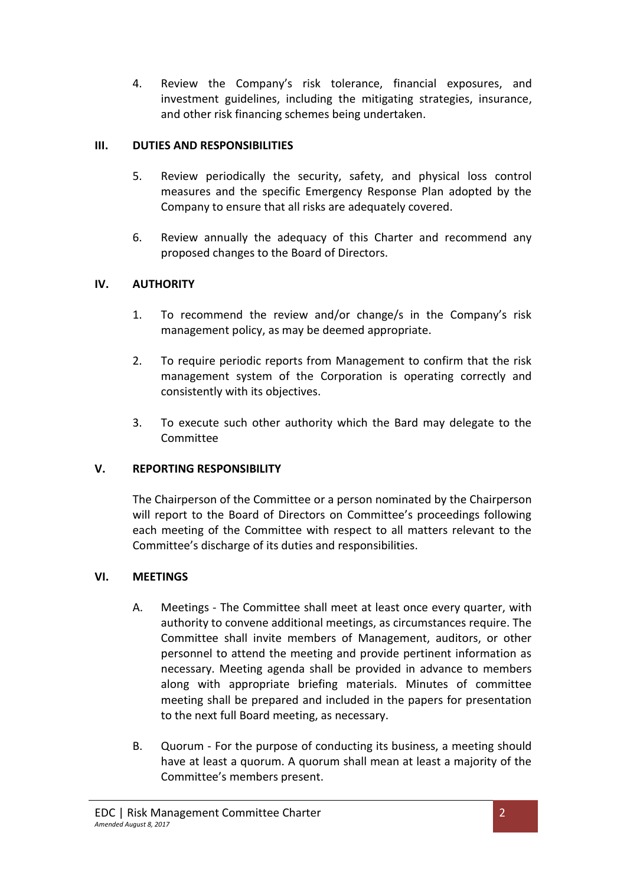4. Review the Company's risk tolerance, financial exposures, and investment guidelines, including the mitigating strategies, insurance, and other risk financing schemes being undertaken.

## **III. DUTIES AND RESPONSIBILITIES**

- 5. Review periodically the security, safety, and physical loss control measures and the specific Emergency Response Plan adopted by the Company to ensure that all risks are adequately covered.
- 6. Review annually the adequacy of this Charter and recommend any proposed changes to the Board of Directors.

## **IV. AUTHORITY**

- 1. To recommend the review and/or change/s in the Company's risk management policy, as may be deemed appropriate.
- 2. To require periodic reports from Management to confirm that the risk management system of the Corporation is operating correctly and consistently with its objectives.
- 3. To execute such other authority which the Bard may delegate to the Committee

# **V. REPORTING RESPONSIBILITY**

The Chairperson of the Committee or a person nominated by the Chairperson will report to the Board of Directors on Committee's proceedings following each meeting of the Committee with respect to all matters relevant to the Committee's discharge of its duties and responsibilities.

### **VI. MEETINGS**

- A. Meetings The Committee shall meet at least once every quarter, with authority to convene additional meetings, as circumstances require. The Committee shall invite members of Management, auditors, or other personnel to attend the meeting and provide pertinent information as necessary. Meeting agenda shall be provided in advance to members along with appropriate briefing materials. Minutes of committee meeting shall be prepared and included in the papers for presentation to the next full Board meeting, as necessary.
- B. Quorum For the purpose of conducting its business, a meeting should have at least a quorum. A quorum shall mean at least a majority of the Committee's members present.